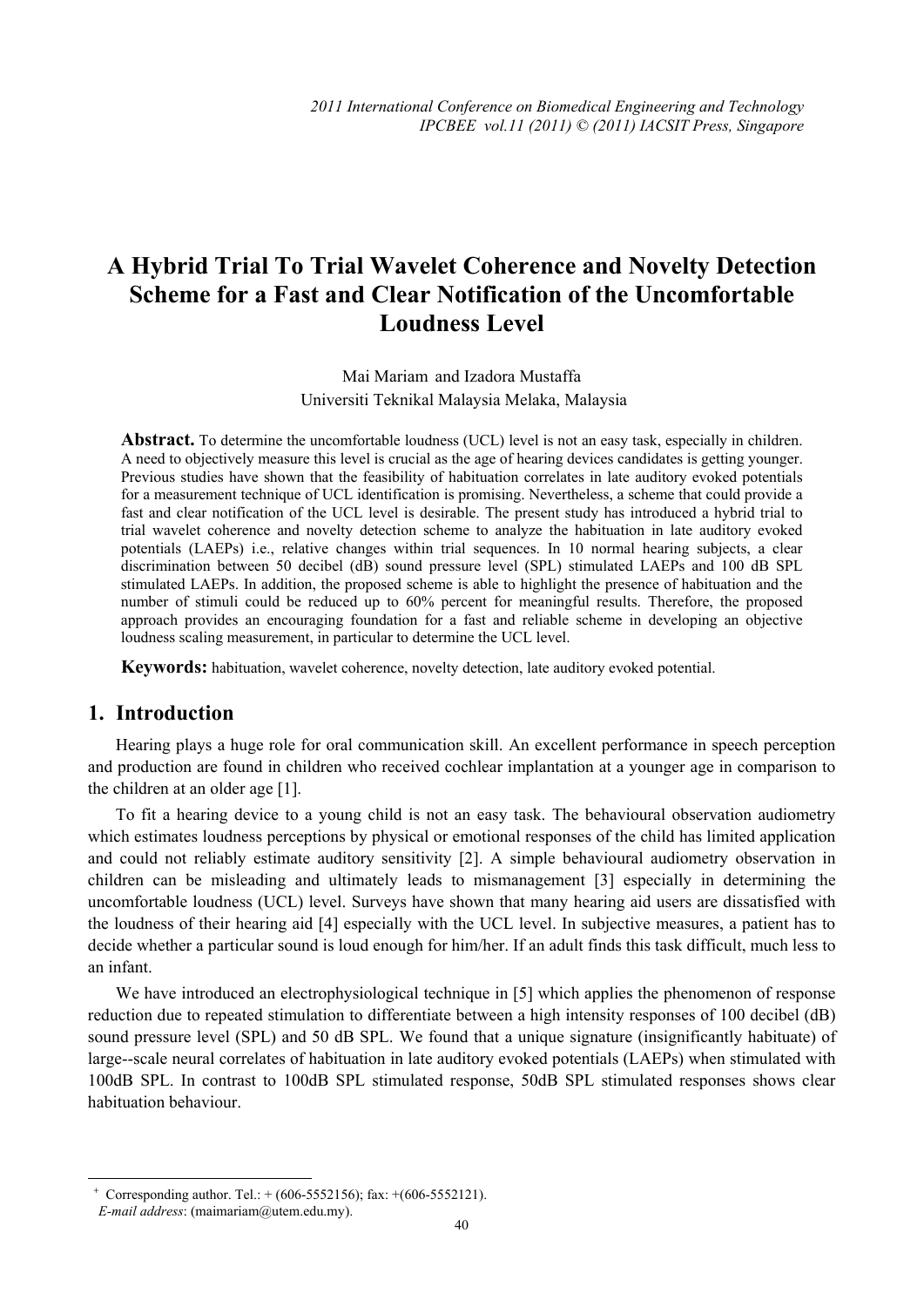# **A Hybrid Trial To Trial Wavelet Coherence and Novelty Detection Scheme for a Fast and Clear Notification of the Uncomfortable Loudness Level**

Mai Mariam and Izadora Mustaffa Universiti Teknikal Malaysia Melaka, Malaysia

**Abstract.** To determine the uncomfortable loudness (UCL) level is not an easy task, especially in children. A need to objectively measure this level is crucial as the age of hearing devices candidates is getting younger. Previous studies have shown that the feasibility of habituation correlates in late auditory evoked potentials for a measurement technique of UCL identification is promising. Nevertheless, a scheme that could provide a fast and clear notification of the UCL level is desirable. The present study has introduced a hybrid trial to trial wavelet coherence and novelty detection scheme to analyze the habituation in late auditory evoked potentials (LAEPs) i.e., relative changes within trial sequences. In 10 normal hearing subjects, a clear discrimination between 50 decibel (dB) sound pressure level (SPL) stimulated LAEPs and 100 dB SPL stimulated LAEPs. In addition, the proposed scheme is able to highlight the presence of habituation and the number of stimuli could be reduced up to 60% percent for meaningful results. Therefore, the proposed approach provides an encouraging foundation for a fast and reliable scheme in developing an objective loudness scaling measurement, in particular to determine the UCL level.

**Keywords:** habituation, wavelet coherence, novelty detection, late auditory evoked potential.

# **1. Introduction**

Hearing plays a huge role for oral communication skill. An excellent performance in speech perception and production are found in children who received cochlear implantation at a younger age in comparison to the children at an older age [1].

To fit a hearing device to a young child is not an easy task. The behavioural observation audiometry which estimates loudness perceptions by physical or emotional responses of the child has limited application and could not reliably estimate auditory sensitivity [2]. A simple behavioural audiometry observation in children can be misleading and ultimately leads to mismanagement [3] especially in determining the uncomfortable loudness (UCL) level. Surveys have shown that many hearing aid users are dissatisfied with the loudness of their hearing aid [4] especially with the UCL level. In subjective measures, a patient has to decide whether a particular sound is loud enough for him/her. If an adult finds this task difficult, much less to an infant.

We have introduced an electrophysiological technique in [5] which applies the phenomenon of response reduction due to repeated stimulation to differentiate between a high intensity responses of 100 decibel (dB) sound pressure level (SPL) and 50 dB SPL. We found that a unique signature (insignificantly habituate) of large--scale neural correlates of habituation in late auditory evoked potentials (LAEPs) when stimulated with 100dB SPL. In contrast to 100dB SPL stimulated response, 50dB SPL stimulated responses shows clear habituation behaviour.

 $\overline{\phantom{a}}$ 

 $+$  Corresponding author. Tel.:  $+$  (606-5552156); fax:  $+$  (606-5552121).

*E-mail address*: (maimariam@utem.edu.my).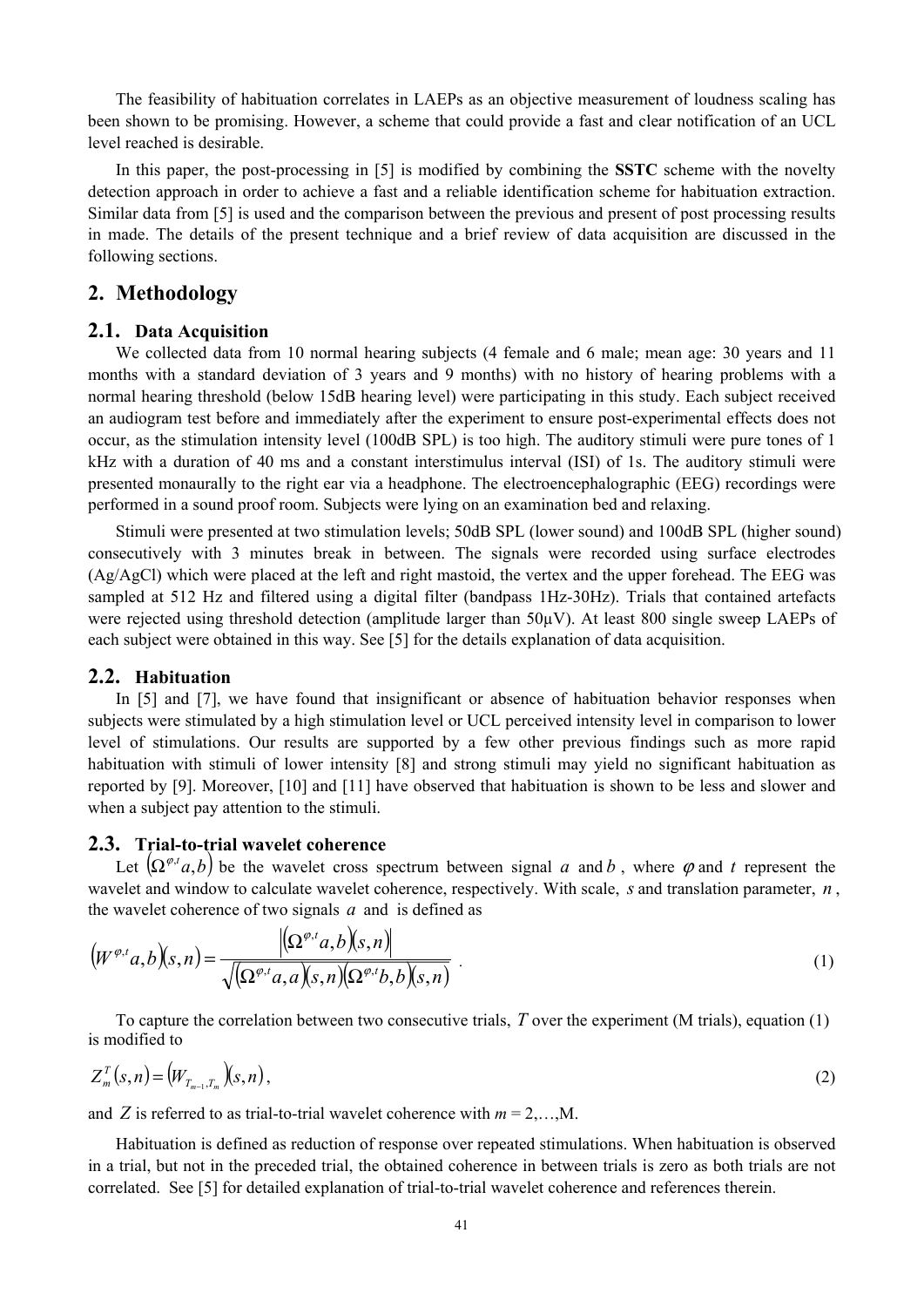The feasibility of habituation correlates in LAEPs as an objective measurement of loudness scaling has been shown to be promising. However, a scheme that could provide a fast and clear notification of an UCL level reached is desirable.

In this paper, the post-processing in [5] is modified by combining the **SSTC** scheme with the novelty detection approach in order to achieve a fast and a reliable identification scheme for habituation extraction. Similar data from [5] is used and the comparison between the previous and present of post processing results in made. The details of the present technique and a brief review of data acquisition are discussed in the following sections.

## **2. Methodology**

#### **2.1. Data Acquisition**

We collected data from 10 normal hearing subjects (4 female and 6 male; mean age: 30 years and 11 months with a standard deviation of 3 years and 9 months) with no history of hearing problems with a normal hearing threshold (below 15dB hearing level) were participating in this study. Each subject received an audiogram test before and immediately after the experiment to ensure post-experimental effects does not occur, as the stimulation intensity level (100dB SPL) is too high. The auditory stimuli were pure tones of 1 kHz with a duration of 40 ms and a constant interstimulus interval (ISI) of 1s. The auditory stimuli were presented monaurally to the right ear via a headphone. The electroencephalographic (EEG) recordings were performed in a sound proof room. Subjects were lying on an examination bed and relaxing.

Stimuli were presented at two stimulation levels; 50dB SPL (lower sound) and 100dB SPL (higher sound) consecutively with 3 minutes break in between. The signals were recorded using surface electrodes (Ag/AgCl) which were placed at the left and right mastoid, the vertex and the upper forehead. The EEG was sampled at 512 Hz and filtered using a digital filter (bandpass 1Hz-30Hz). Trials that contained artefacts were rejected using threshold detection (amplitude larger than 50µV). At least 800 single sweep LAEPs of each subject were obtained in this way. See [5] for the details explanation of data acquisition.

#### **2.2. Habituation**

In [5] and [7], we have found that insignificant or absence of habituation behavior responses when subjects were stimulated by a high stimulation level or UCL perceived intensity level in comparison to lower level of stimulations. Our results are supported by a few other previous findings such as more rapid habituation with stimuli of lower intensity [8] and strong stimuli may yield no significant habituation as reported by [9]. Moreover, [10] and [11] have observed that habituation is shown to be less and slower and when a subject pay attention to the stimuli.

#### **2.3. Trial-to-trial wavelet coherence**

Let  $(\Omega^{\varphi,\iota}a,b)$  be the wavelet cross spectrum between signal *a* and *b*, where  $\varphi$  and *t* represent the wavelet and window to calculate wavelet coherence, respectively. With scale, *s* and translation parameter, *n* , the wavelet coherence of two signals *a* and is defined as

$$
\left(W^{\varphi,t}a,b\right)(s,n) = \frac{\left|\left(\Omega^{\varphi,t}a,b\right)(s,n)\right|}{\sqrt{\left(\Omega^{\varphi,t}a,a\right)(s,n)\left(\Omega^{\varphi,t}b,b\right)(s,n)}}\tag{1}
$$

To capture the correlation between two consecutive trials, *T* over the experiment (M trials), equation (1) is modified to

$$
Z_m^T(s,n) = (W_{T_{m-1},T_m})(s,n),
$$
\n<sup>(2)</sup>

and *Z* is referred to as trial-to-trial wavelet coherence with  $m = 2,...,M$ .

Habituation is defined as reduction of response over repeated stimulations. When habituation is observed in a trial, but not in the preceded trial, the obtained coherence in between trials is zero as both trials are not correlated. See [5] for detailed explanation of trial-to-trial wavelet coherence and references therein.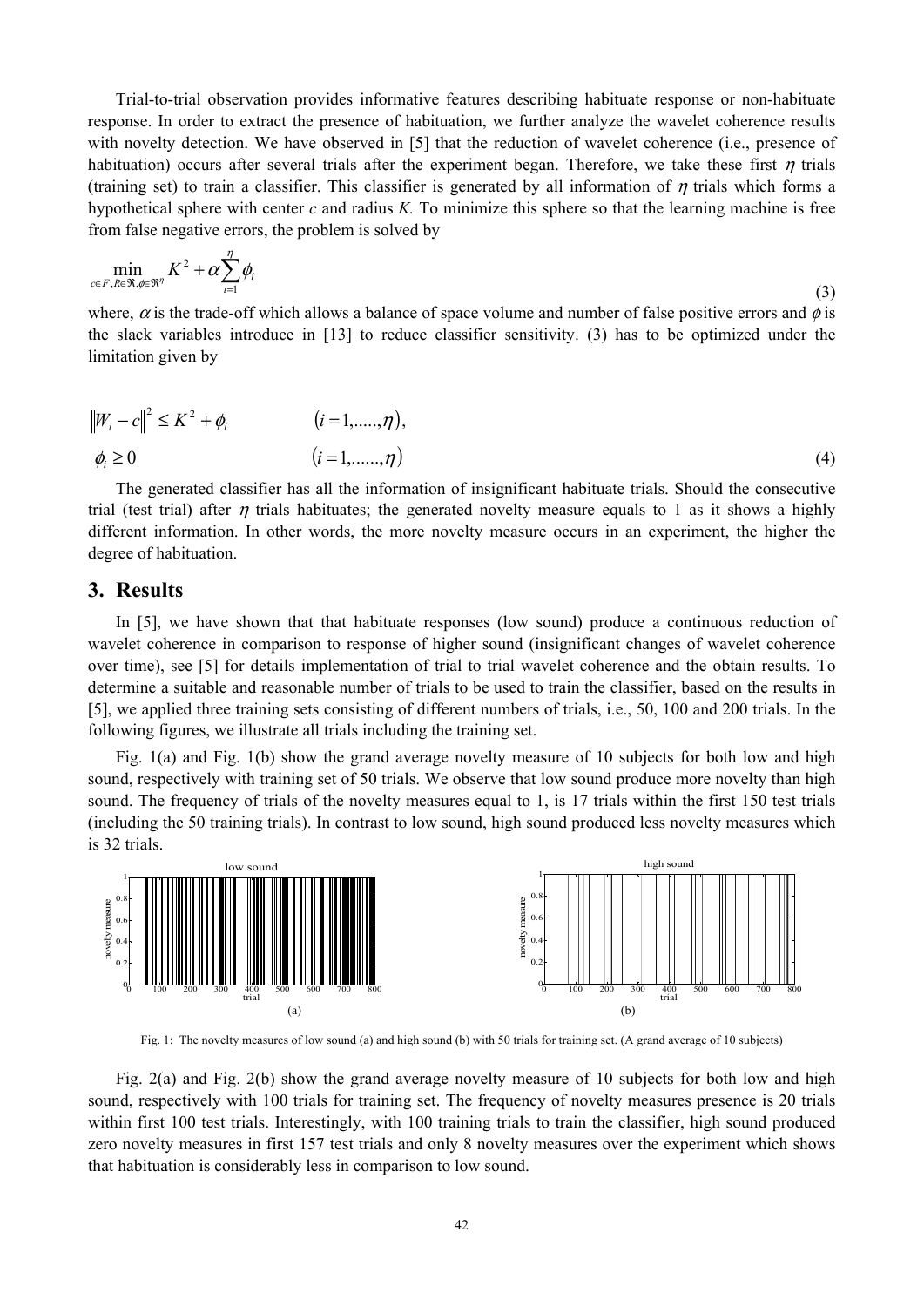Trial-to-trial observation provides informative features describing habituate response or non-habituate response. In order to extract the presence of habituation, we further analyze the wavelet coherence results with novelty detection. We have observed in [5] that the reduction of wavelet coherence (i.e., presence of habituation) occurs after several trials after the experiment began. Therefore, we take these first  $\eta$  trials (training set) to train a classifier. This classifier is generated by all information of  $\eta$  trials which forms a hypothetical sphere with center *c* and radius *K.* To minimize this sphere so that the learning machine is free from false negative errors, the problem is solved by

$$
\min_{c \in F, R \in \mathfrak{R}, \phi \in \mathfrak{R}^{\eta}} K^2 + \alpha \sum_{i=1}^{\eta} \phi_i
$$
\n(3)

where,  $\alpha$  is the trade-off which allows a balance of space volume and number of false positive errors and  $\phi$  is the slack variables introduce in [13] to reduce classifier sensitivity. (3) has to be optimized under the limitation given by

$$
||W_i - c||^2 \le K^2 + \phi_i \qquad (i = 1, \dots, \eta),
$$
  

$$
\phi_i \ge 0 \qquad (i = 1, \dots, \eta)
$$
 (4)

The generated classifier has all the information of insignificant habituate trials. Should the consecutive trial (test trial) after  $\eta$  trials habituates; the generated novelty measure equals to 1 as it shows a highly different information. In other words, the more novelty measure occurs in an experiment, the higher the degree of habituation.

#### **3. Results**

In [5], we have shown that that habituate responses (low sound) produce a continuous reduction of wavelet coherence in comparison to response of higher sound (insignificant changes of wavelet coherence over time), see [5] for details implementation of trial to trial wavelet coherence and the obtain results. To determine a suitable and reasonable number of trials to be used to train the classifier, based on the results in [5], we applied three training sets consisting of different numbers of trials, i.e., 50, 100 and 200 trials. In the following figures, we illustrate all trials including the training set.

Fig. 1(a) and Fig. 1(b) show the grand average novelty measure of 10 subjects for both low and high sound, respectively with training set of 50 trials. We observe that low sound produce more novelty than high sound. The frequency of trials of the novelty measures equal to 1, is 17 trials within the first 150 test trials (including the 50 training trials). In contrast to low sound, high sound produced less novelty measures which is 32 trials.



Fig. 1: The novelty measures of low sound (a) and high sound (b) with 50 trials for training set. (A grand average of 10 subjects)

Fig. 2(a) and Fig. 2(b) show the grand average novelty measure of 10 subjects for both low and high sound, respectively with 100 trials for training set. The frequency of novelty measures presence is 20 trials within first 100 test trials. Interestingly, with 100 training trials to train the classifier, high sound produced zero novelty measures in first 157 test trials and only 8 novelty measures over the experiment which shows that habituation is considerably less in comparison to low sound.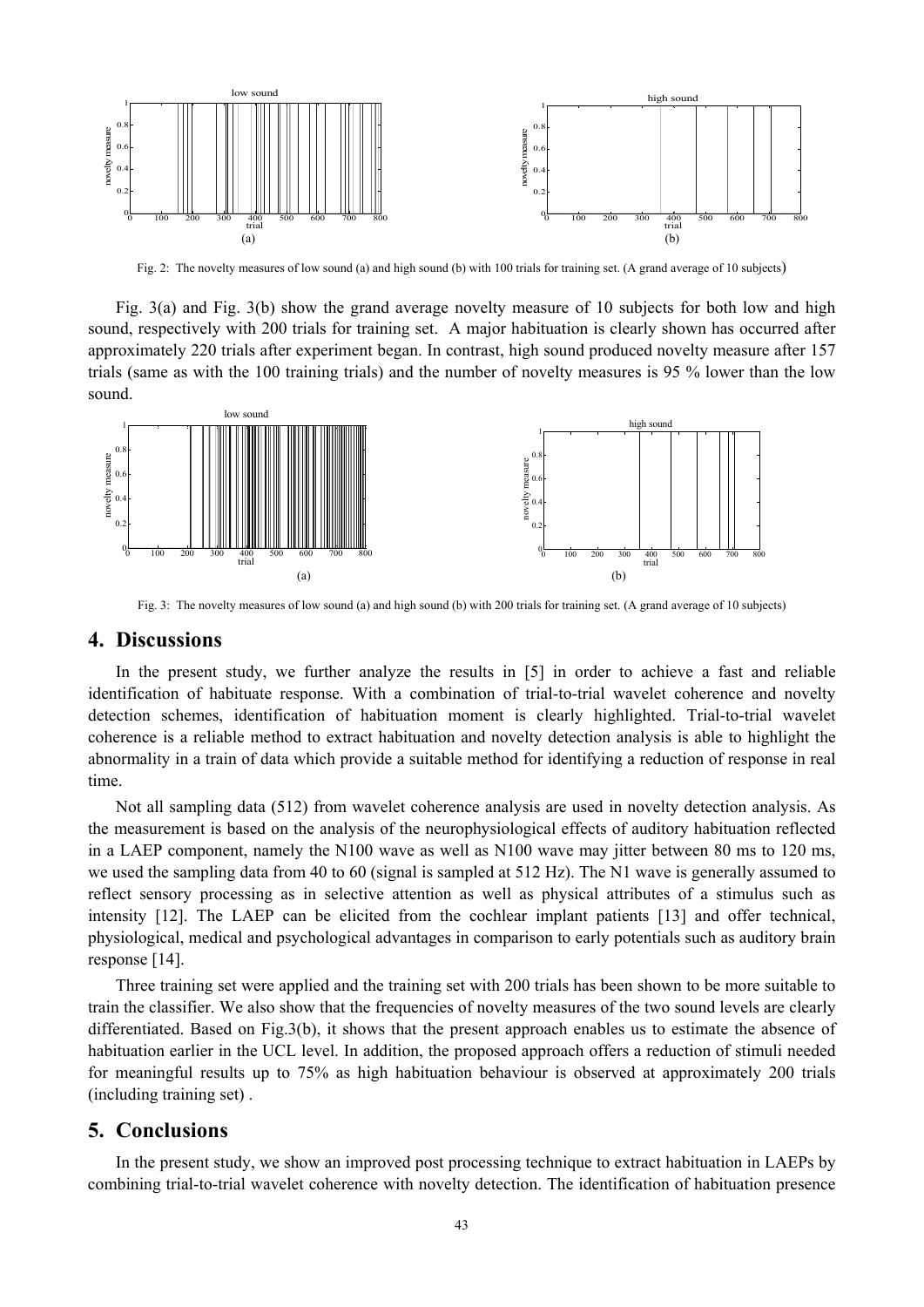

Fig. 2: The novelty measures of low sound (a) and high sound (b) with 100 trials for training set. (A grand average of 10 subjects)

Fig. 3(a) and Fig. 3(b) show the grand average novelty measure of 10 subjects for both low and high sound, respectively with 200 trials for training set. A major habituation is clearly shown has occurred after approximately 220 trials after experiment began. In contrast, high sound produced novelty measure after 157 trials (same as with the 100 training trials) and the number of novelty measures is 95 % lower than the low sound.



Fig. 3: The novelty measures of low sound (a) and high sound (b) with 200 trials for training set. (A grand average of 10 subjects)

#### **4. Discussions**

In the present study, we further analyze the results in [5] in order to achieve a fast and reliable identification of habituate response. With a combination of trial-to-trial wavelet coherence and novelty detection schemes, identification of habituation moment is clearly highlighted. Trial-to-trial wavelet coherence is a reliable method to extract habituation and novelty detection analysis is able to highlight the abnormality in a train of data which provide a suitable method for identifying a reduction of response in real time.

Not all sampling data (512) from wavelet coherence analysis are used in novelty detection analysis. As the measurement is based on the analysis of the neurophysiological effects of auditory habituation reflected in a LAEP component, namely the N100 wave as well as N100 wave may jitter between 80 ms to 120 ms, we used the sampling data from 40 to 60 (signal is sampled at 512 Hz). The N1 wave is generally assumed to reflect sensory processing as in selective attention as well as physical attributes of a stimulus such as intensity [12]. The LAEP can be elicited from the cochlear implant patients [13] and offer technical, physiological, medical and psychological advantages in comparison to early potentials such as auditory brain response [14].

Three training set were applied and the training set with 200 trials has been shown to be more suitable to train the classifier. We also show that the frequencies of novelty measures of the two sound levels are clearly differentiated. Based on Fig.3(b), it shows that the present approach enables us to estimate the absence of habituation earlier in the UCL level. In addition, the proposed approach offers a reduction of stimuli needed for meaningful results up to 75% as high habituation behaviour is observed at approximately 200 trials (including training set) .

## **5. Conclusions**

In the present study, we show an improved post processing technique to extract habituation in LAEPs by combining trial-to-trial wavelet coherence with novelty detection. The identification of habituation presence